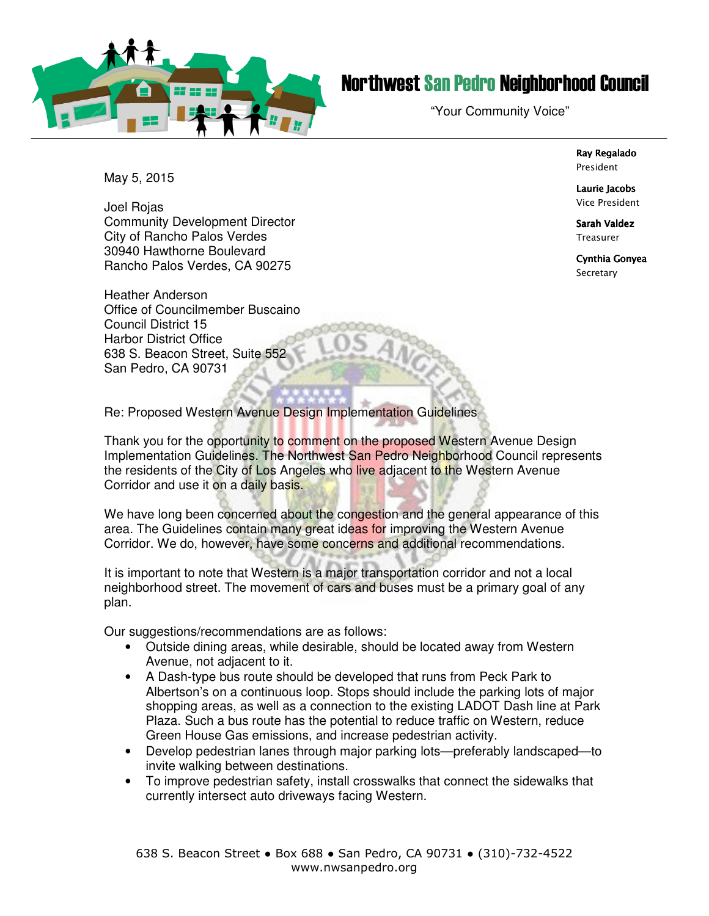

## Northwest San Pedro Neighborhood Council

"Your Community Voice"

Ray Regalado President

Laurie Jacobs Vice President

Sarah Valdez **Treasurer** 

Cynthia Gonyea **Secretary** 

May 5, 2015

Joel Rojas Community Development Director City of Rancho Palos Verdes 30940 Hawthorne Boulevard Rancho Palos Verdes, CA 90275

Heather Anderson Office of Councilmember Buscaino Council District 15 Harbor District Office 638 S. Beacon Street, Suite 552 San Pedro, CA 90731

Re: Proposed Western Avenue Design Implementation Guidelines

Thank you for the opportunity to comment on the proposed Western Avenue Design Implementation Guidelines. The Northwest San Pedro Neighborhood Council represents the residents of the City of Los Angeles who live adjacent to the Western Avenue Corridor and use it on a daily basis.

We have long been concerned about the congestion and the general appearance of this area. The Guidelines contain many great ideas for improving the Western Avenue Corridor. We do, however, have some concerns and additional recommendations.

It is important to note that Western is a major transportation corridor and not a local neighborhood street. The movement of cars and buses must be a primary goal of any plan.

Our suggestions/recommendations are as follows:

- Outside dining areas, while desirable, should be located away from Western Avenue, not adjacent to it.
- A Dash-type bus route should be developed that runs from Peck Park to Albertson's on a continuous loop. Stops should include the parking lots of major shopping areas, as well as a connection to the existing LADOT Dash line at Park Plaza. Such a bus route has the potential to reduce traffic on Western, reduce Green House Gas emissions, and increase pedestrian activity.
- Develop pedestrian lanes through major parking lots—preferably landscaped—to invite walking between destinations.
- To improve pedestrian safety, install crosswalks that connect the sidewalks that currently intersect auto driveways facing Western.